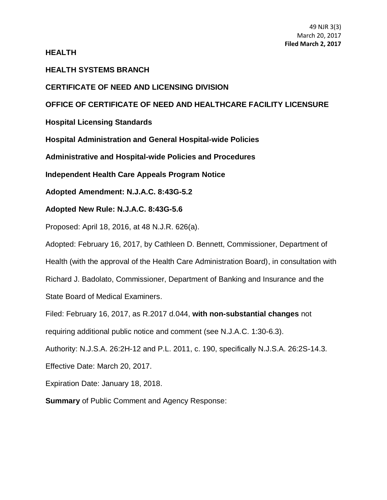### **HEALTH**

## **HEALTH SYSTEMS BRANCH**

# **CERTIFICATE OF NEED AND LICENSING DIVISION**

# **OFFICE OF CERTIFICATE OF NEED AND HEALTHCARE FACILITY LICENSURE**

**Hospital Licensing Standards**

**Hospital Administration and General Hospital-wide Policies**

**Administrative and Hospital-wide Policies and Procedures**

**Independent Health Care Appeals Program Notice**

**Adopted Amendment: N.J.A.C. 8:43G-5.2**

### **Adopted New Rule: N.J.A.C. 8:43G-5.6**

Proposed: April 18, 2016, at 48 N.J.R. 626(a).

Adopted: February 16, 2017, by Cathleen D. Bennett, Commissioner, Department of Health (with the approval of the Health Care Administration Board), in consultation with Richard J. Badolato, Commissioner, Department of Banking and Insurance and the

State Board of Medical Examiners.

Filed: February 16, 2017, as R.2017 d.044, **with non-substantial changes** not

requiring additional public notice and comment (see N.J.A.C. 1:30-6.3).

Authority: N.J.S.A. 26:2H-12 and P.L. 2011, c. 190, specifically N.J.S.A. 26:2S-14.3.

Effective Date: March 20, 2017.

Expiration Date: January 18, 2018.

**Summary** of Public Comment and Agency Response: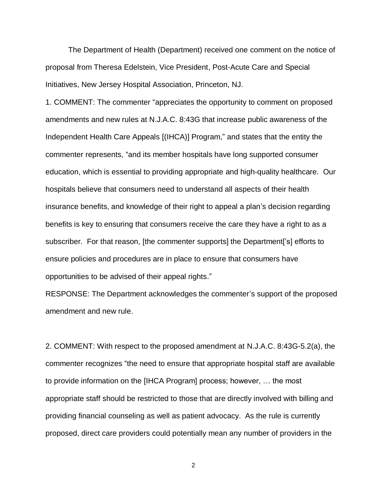The Department of Health (Department) received one comment on the notice of proposal from Theresa Edelstein, Vice President, Post-Acute Care and Special Initiatives, New Jersey Hospital Association, Princeton, NJ.

1. COMMENT: The commenter "appreciates the opportunity to comment on proposed amendments and new rules at N.J.A.C. 8:43G that increase public awareness of the Independent Health Care Appeals [(IHCA)] Program," and states that the entity the commenter represents, "and its member hospitals have long supported consumer education, which is essential to providing appropriate and high-quality healthcare. Our hospitals believe that consumers need to understand all aspects of their health insurance benefits, and knowledge of their right to appeal a plan's decision regarding benefits is key to ensuring that consumers receive the care they have a right to as a subscriber. For that reason, [the commenter supports] the Department['s] efforts to ensure policies and procedures are in place to ensure that consumers have opportunities to be advised of their appeal rights."

RESPONSE: The Department acknowledges the commenter's support of the proposed amendment and new rule.

2. COMMENT: With respect to the proposed amendment at N.J.A.C. 8:43G-5.2(a), the commenter recognizes "the need to ensure that appropriate hospital staff are available to provide information on the [IHCA Program] process; however, … the most appropriate staff should be restricted to those that are directly involved with billing and providing financial counseling as well as patient advocacy. As the rule is currently proposed, direct care providers could potentially mean any number of providers in the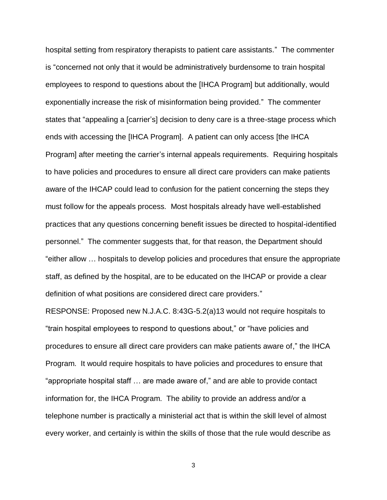hospital setting from respiratory therapists to patient care assistants." The commenter is "concerned not only that it would be administratively burdensome to train hospital employees to respond to questions about the [IHCA Program] but additionally, would exponentially increase the risk of misinformation being provided." The commenter states that "appealing a [carrier's] decision to deny care is a three-stage process which ends with accessing the [IHCA Program]. A patient can only access [the IHCA Program] after meeting the carrier's internal appeals requirements. Requiring hospitals to have policies and procedures to ensure all direct care providers can make patients aware of the IHCAP could lead to confusion for the patient concerning the steps they must follow for the appeals process. Most hospitals already have well-established practices that any questions concerning benefit issues be directed to hospital-identified personnel." The commenter suggests that, for that reason, the Department should "either allow … hospitals to develop policies and procedures that ensure the appropriate staff, as defined by the hospital, are to be educated on the IHCAP or provide a clear definition of what positions are considered direct care providers."

RESPONSE: Proposed new N.J.A.C. 8:43G-5.2(a)13 would not require hospitals to "train hospital employees to respond to questions about," or "have policies and procedures to ensure all direct care providers can make patients aware of," the IHCA Program. It would require hospitals to have policies and procedures to ensure that "appropriate hospital staff … are made aware of," and are able to provide contact information for, the IHCA Program. The ability to provide an address and/or a telephone number is practically a ministerial act that is within the skill level of almost every worker, and certainly is within the skills of those that the rule would describe as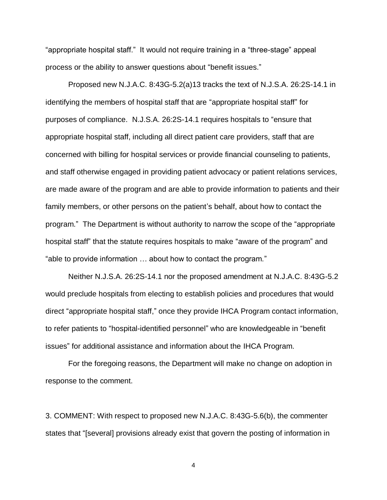"appropriate hospital staff." It would not require training in a "three-stage" appeal process or the ability to answer questions about "benefit issues."

Proposed new N.J.A.C. 8:43G-5.2(a)13 tracks the text of N.J.S.A. 26:2S-14.1 in identifying the members of hospital staff that are "appropriate hospital staff" for purposes of compliance. N.J.S.A. 26:2S-14.1 requires hospitals to "ensure that appropriate hospital staff, including all direct patient care providers, staff that are concerned with billing for hospital services or provide financial counseling to patients, and staff otherwise engaged in providing patient advocacy or patient relations services, are made aware of the program and are able to provide information to patients and their family members, or other persons on the patient's behalf, about how to contact the program." The Department is without authority to narrow the scope of the "appropriate hospital staff" that the statute requires hospitals to make "aware of the program" and "able to provide information … about how to contact the program."

Neither N.J.S.A. 26:2S-14.1 nor the proposed amendment at N.J.A.C. 8:43G-5.2 would preclude hospitals from electing to establish policies and procedures that would direct "appropriate hospital staff," once they provide IHCA Program contact information, to refer patients to "hospital-identified personnel" who are knowledgeable in "benefit issues" for additional assistance and information about the IHCA Program.

For the foregoing reasons, the Department will make no change on adoption in response to the comment.

3. COMMENT: With respect to proposed new N.J.A.C. 8:43G-5.6(b), the commenter states that "[several] provisions already exist that govern the posting of information in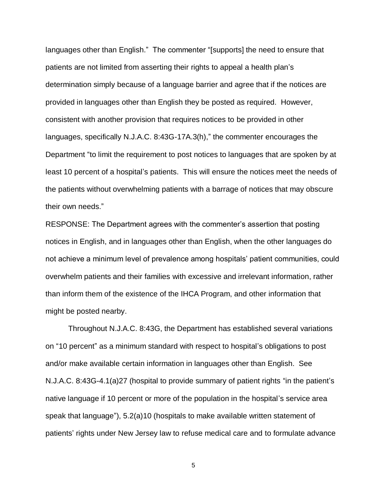languages other than English." The commenter "[supports] the need to ensure that patients are not limited from asserting their rights to appeal a health plan's determination simply because of a language barrier and agree that if the notices are provided in languages other than English they be posted as required. However, consistent with another provision that requires notices to be provided in other languages, specifically N.J.A.C. 8:43G-17A.3(h)," the commenter encourages the Department "to limit the requirement to post notices to languages that are spoken by at least 10 percent of a hospital's patients. This will ensure the notices meet the needs of the patients without overwhelming patients with a barrage of notices that may obscure their own needs."

RESPONSE: The Department agrees with the commenter's assertion that posting notices in English, and in languages other than English, when the other languages do not achieve a minimum level of prevalence among hospitals' patient communities, could overwhelm patients and their families with excessive and irrelevant information, rather than inform them of the existence of the IHCA Program, and other information that might be posted nearby.

Throughout N.J.A.C. 8:43G, the Department has established several variations on "10 percent" as a minimum standard with respect to hospital's obligations to post and/or make available certain information in languages other than English. See N.J.A.C. 8:43G-4.1(a)27 (hospital to provide summary of patient rights "in the patient's native language if 10 percent or more of the population in the hospital's service area speak that language"), 5.2(a)10 (hospitals to make available written statement of patients' rights under New Jersey law to refuse medical care and to formulate advance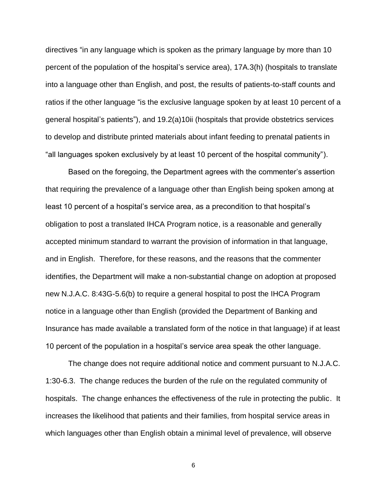directives "in any language which is spoken as the primary language by more than 10 percent of the population of the hospital's service area), 17A.3(h) (hospitals to translate into a language other than English, and post, the results of patients-to-staff counts and ratios if the other language "is the exclusive language spoken by at least 10 percent of a general hospital's patients"), and 19.2(a)10ii (hospitals that provide obstetrics services to develop and distribute printed materials about infant feeding to prenatal patients in "all languages spoken exclusively by at least 10 percent of the hospital community").

Based on the foregoing, the Department agrees with the commenter's assertion that requiring the prevalence of a language other than English being spoken among at least 10 percent of a hospital's service area, as a precondition to that hospital's obligation to post a translated IHCA Program notice, is a reasonable and generally accepted minimum standard to warrant the provision of information in that language, and in English. Therefore, for these reasons, and the reasons that the commenter identifies, the Department will make a non-substantial change on adoption at proposed new N.J.A.C. 8:43G-5.6(b) to require a general hospital to post the IHCA Program notice in a language other than English (provided the Department of Banking and Insurance has made available a translated form of the notice in that language) if at least 10 percent of the population in a hospital's service area speak the other language.

The change does not require additional notice and comment pursuant to N.J.A.C. 1:30-6.3. The change reduces the burden of the rule on the regulated community of hospitals. The change enhances the effectiveness of the rule in protecting the public. It increases the likelihood that patients and their families, from hospital service areas in which languages other than English obtain a minimal level of prevalence, will observe